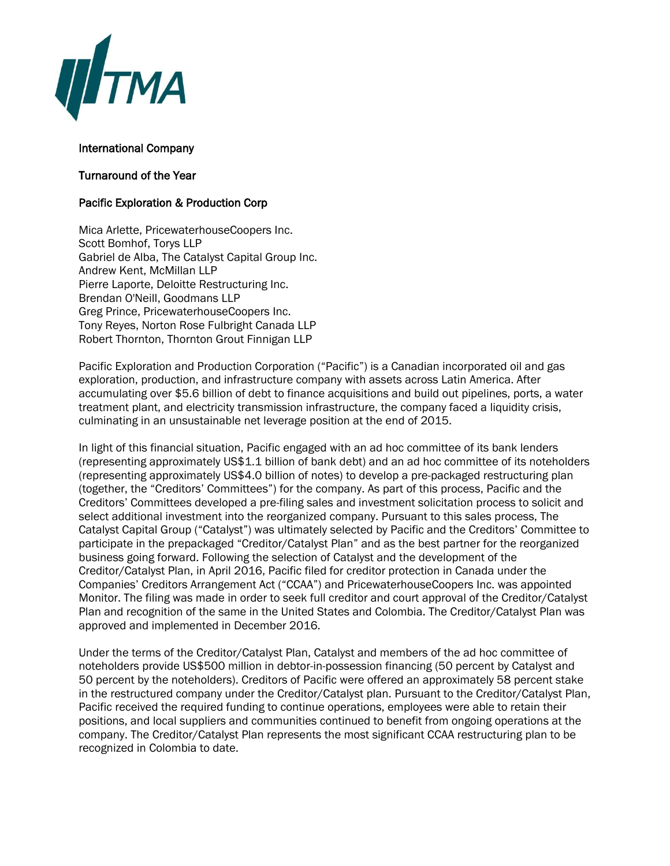

## International Company

## Turnaround of the Year

## Pacific Exploration & Production Corp

Mica Arlette, PricewaterhouseCoopers Inc. Scott Bomhof, Torys LLP Gabriel de Alba, The Catalyst Capital Group Inc. Andrew Kent, McMillan LLP Pierre Laporte, Deloitte Restructuring Inc. Brendan O'Neill, Goodmans LLP Greg Prince, PricewaterhouseCoopers Inc. Tony Reyes, Norton Rose Fulbright Canada LLP Robert Thornton, Thornton Grout Finnigan LLP

Pacific Exploration and Production Corporation ("Pacific") is a Canadian incorporated oil and gas exploration, production, and infrastructure company with assets across Latin America. After accumulating over \$5.6 billion of debt to finance acquisitions and build out pipelines, ports, a water treatment plant, and electricity transmission infrastructure, the company faced a liquidity crisis, culminating in an unsustainable net leverage position at the end of 2015.

In light of this financial situation, Pacific engaged with an ad hoc committee of its bank lenders (representing approximately US\$1.1 billion of bank debt) and an ad hoc committee of its noteholders (representing approximately US\$4.0 billion of notes) to develop a pre-packaged restructuring plan (together, the "Creditors' Committees") for the company. As part of this process, Pacific and the Creditors' Committees developed a pre-filing sales and investment solicitation process to solicit and select additional investment into the reorganized company. Pursuant to this sales process, The Catalyst Capital Group ("Catalyst") was ultimately selected by Pacific and the Creditors' Committee to participate in the prepackaged "Creditor/Catalyst Plan" and as the best partner for the reorganized business going forward. Following the selection of Catalyst and the development of the Creditor/Catalyst Plan, in April 2016, Pacific filed for creditor protection in Canada under the Companies' Creditors Arrangement Act ("CCAA") and PricewaterhouseCoopers Inc. was appointed Monitor. The filing was made in order to seek full creditor and court approval of the Creditor/Catalyst Plan and recognition of the same in the United States and Colombia. The Creditor/Catalyst Plan was approved and implemented in December 2016.

Under the terms of the Creditor/Catalyst Plan, Catalyst and members of the ad hoc committee of noteholders provide US\$500 million in debtor-in-possession financing (50 percent by Catalyst and 50 percent by the noteholders). Creditors of Pacific were offered an approximately 58 percent stake in the restructured company under the Creditor/Catalyst plan. Pursuant to the Creditor/Catalyst Plan, Pacific received the required funding to continue operations, employees were able to retain their positions, and local suppliers and communities continued to benefit from ongoing operations at the company. The Creditor/Catalyst Plan represents the most significant CCAA restructuring plan to be recognized in Colombia to date.